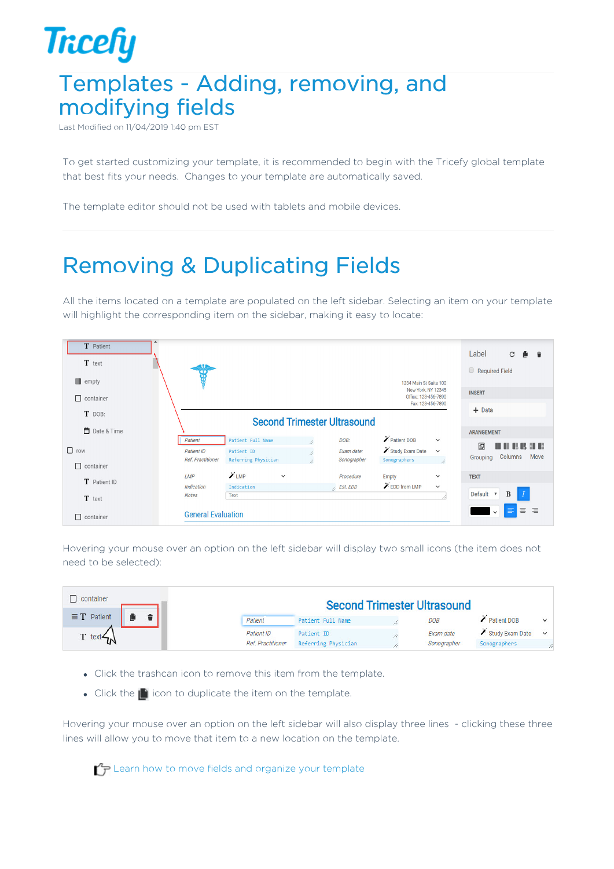## **Tricefy** Templates - Adding, removing, and modifying fields

Last Modified on 11/04/2019 1:40 pm EST

To get started customizing your template, it is recommended to begin with the Tricefy global template that best fits your needs. Changes to your template are automatically saved.

The template editor should not be used with tablets and mobile devices.

## Removing & Duplicating Fields

All the items located on a template are populated on the left sidebar. Selecting an item on your template will highlight the corresponding item on the sidebar, making it easy to locate:



Hovering your mouse over an option on the left sidebar will display two small icons (the item does not need to be selected):

| container          | <b>Second Trimester Ultrasound</b> |                     |  |             |                 |              |
|--------------------|------------------------------------|---------------------|--|-------------|-----------------|--------------|
| $\equiv$ T Patient | Patient                            | Patient Full Name   |  | <b>DOB</b>  | Patient DOB     | $\checkmark$ |
| T text $\prec$     | Patient ID                         | Patient ID          |  | Exam date   | Study Exam Date | $\checkmark$ |
|                    | <b>Ref. Practitioner</b>           | Referring Physician |  | Sonographer | Sonographers    |              |

- Click the trashcan icon to remove this item from the template.
- Click the  $\blacksquare$  icon to duplicate the item on the template.

Hovering your mouse over an option on the left sidebar will also display three lines - clicking these three lines will allow you to move that item to a new location on the template.

Learn how to move fields and organize your template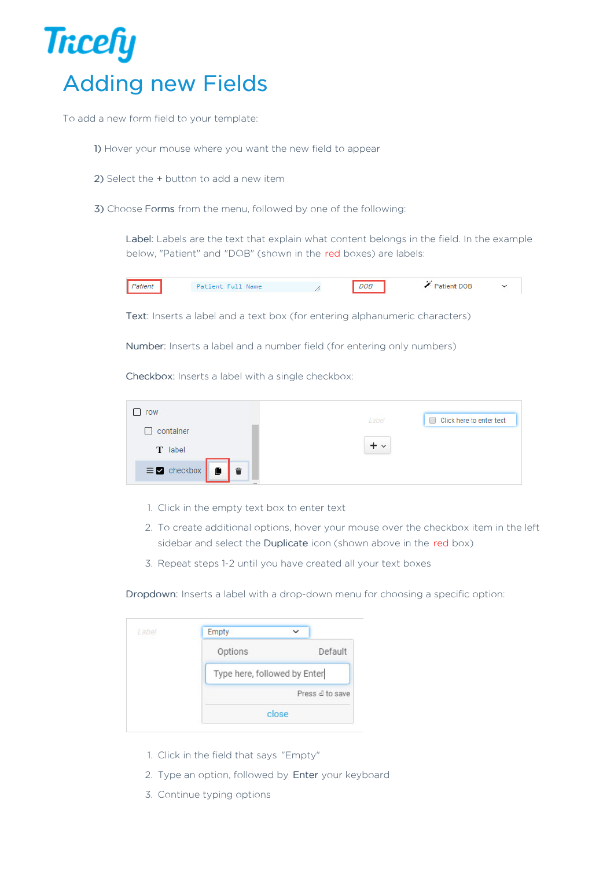

To add a new form field to your template:

- 1) Hover your mouse where you want the new field to appear
- 2) Select the + button to add a new item
- 3) Choose Forms from the menu, followed by one of the following:

Label: Labels are the text that explain what content belongs in the field. In the example below, "Patient" and "DOB" (shown in the red boxes) are labels:



Text: Inserts a label and a text box (for entering alphanumeric characters)

Number: Inserts a label and a number field (for entering only numbers)

Checkbox: Inserts a label with a single checkbox:

| row                                                     | Click here to enter text<br>Label |
|---------------------------------------------------------|-----------------------------------|
| container                                               |                                   |
| T label                                                 | + ∨                               |
| $\equiv$ Z checkbox $\parallel$ $\parallel$ $\parallel$ |                                   |

- 1. Click in the empty text box to enter text
- 2. To create additional options, hover your mouse over the checkbox item in the left sidebar and select the Duplicate icon (shown above in the red box)
- 3. Repeat steps 1-2 until you have created all your text boxes

Dropdown: Inserts a label with a drop-down menu for choosing a specific option:

| 1 abel | Empty                        | $\checkmark$     |  |
|--------|------------------------------|------------------|--|
|        | Options                      | Default          |  |
|        | Type here, followed by Enter |                  |  |
|        |                              | Press el to save |  |
|        |                              | close            |  |

- 1. Click in the field that says "Empty"
- 2. Type an option, followed by Enter your keyboard
- 3. Continue typing options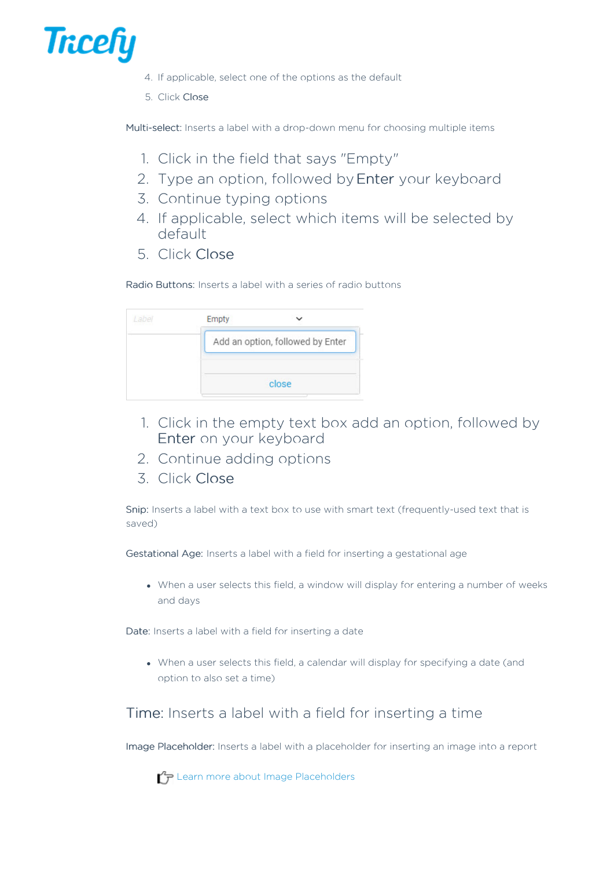

- 4. If applicable, select one of the options as the default
- 5. Click Close

Multi-select: Inserts a label with a drop-down menu for choosing multiple items

- 1. Click in the field that says "Empty"
- 2. Type an option, followed by Enter your keyboard
- 3. Continue typing options
- 4. If applicable, select which items will be selected by default
- 5. Click Close

Radio Buttons: Inserts a label with a series of radio buttons

| Empty |                                  |
|-------|----------------------------------|
|       | Add an option, followed by Enter |
|       | close                            |

- 1. Click in the empty text box add an option, followed by Enter on your keyboard
- 2. Continue adding options
- 3. Click Close

Snip: Inserts a label with a text box to use with smart text (frequently-used text that is saved)

Gestational Age: Inserts a label with a field for inserting a gestational age

When a user selects this field, a window will display for entering a number of weeks and days

Date: Inserts a label with a field for inserting a date

When a user selects this field, a calendar will display for specifying a date (and option to also set a time)

## Time: Inserts a label with a field for inserting a time

Image Placeholder: Inserts a label with a placeholder for inserting an image into a report

**Learn more about Image Placeholders**